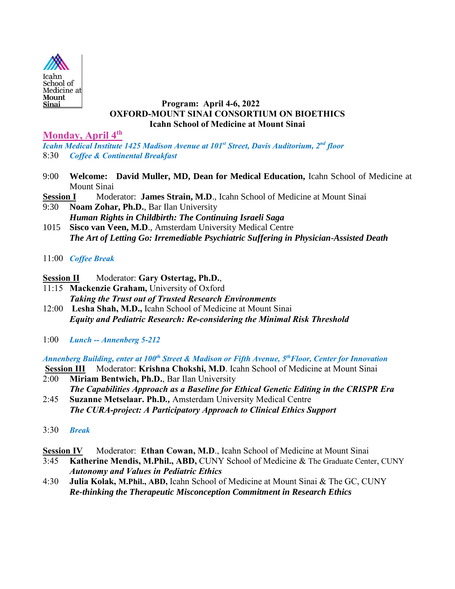

### **Program: April 4-6, 2022 OXFORD-MOUNT SINAI CONSORTIUM ON BIOETHICS Icahn School of Medicine at Mount Sinai**

**Monday, April 4 th**

*Icahn Medical Institute 1425 Madison Avenue at 101st Street, Davis Auditorium, 2nd floor* 8:30 *Coffee & Continental Breakfast*

- 9:00 **Welcome: David Muller, MD, Dean for Medical Education,** Icahn School of Medicine at Mount Sinai
- **Session I** Moderator: **James Strain, M.D**., Icahn School of Medicine at Mount Sinai
- 9:30 **Noam Zohar, Ph.D.**, Bar Ilan University *Human Rights in Childbirth: The Continuing Israeli Saga*
- 1015 **Sisco van Veen, M.D**., Amsterdam University Medical Centre *The Art of Letting Go: Irremediable Psychiatric Suffering in Physician-Assisted Death*
- 11:00 *Coffee Break*

### **Session II** Moderator: **Gary Ostertag, Ph.D.**,

- 11:15 **Mackenzie Graham,** University of Oxford *Taking the Trust out of Trusted Research Environments*
- 12:00 **Lesha Shah, M.D.,** Icahn School of Medicine at Mount Sinai *Equity and Pediatric Research: Re-considering the Minimal Risk Threshold*
- 1:00 *Lunch -- Annenberg 5-212*

*Annenberg Building, enter at 100th Street & Madison or Fifth Avenue, 5thFloor, Center for Innovation*

**Session III** Moderator: **Krishna Chokshi, M.D**. Icahn School of Medicine at Mount Sinai 2:00 **Miriam Bentwich, Ph.D.**, Bar Ilan University

*The Capabilities Approach as a Baseline for Ethical Genetic Editing in the CRISPR Era*

- 2:45 **Suzanne Metselaar. Ph.D***.,* Amsterdam University Medical Centre *The CURA-project: A Participatory Approach to Clinical Ethics Support*
- 3:30 *Break*
- **Session IV** Moderator: **Ethan Cowan, M.D.**, Icahn School of Medicine at Mount Sinai
- 3:45 **Katherine Mendis, M.Phil., ABD,** CUNY School of Medicine & The Graduate Center, CUNY *Autonomy and Values in Pediatric Ethics*
- 4:30 **Julia Kolak, M.Phil., ABD,** Icahn School of Medicine at Mount Sinai & The GC, CUNY *Re-thinking the Therapeutic Misconception Commitment in Research Ethics*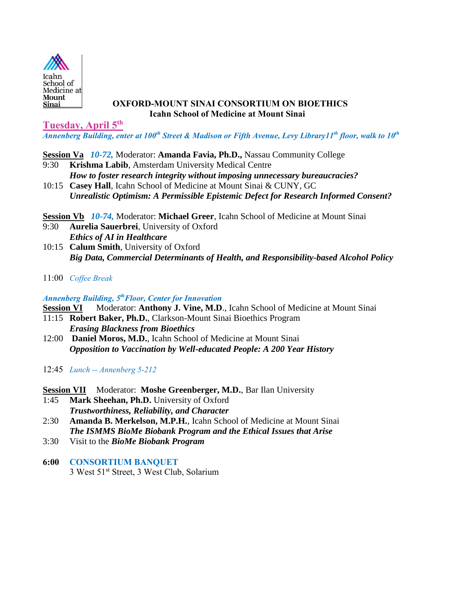

### **OXFORD-MOUNT SINAI CONSORTIUM ON BIOETHICS Icahn School of Medicine at Mount Sinai**

**Tuesday, April 5 th**

*Annenberg Building, enter at 100th Street & Madison or Fifth Avenue, Levy Library11th floor, walk to 10th*

**Session Va** *10-72,* Moderator: **Amanda Favia, Ph.D.,** Nassau Community College

- 9:30 **Krishma Labib**, Amsterdam University Medical Centre *How to foster research integrity without imposing unnecessary bureaucracies?*
- 10:15 **Casey Hall**, Icahn School of Medicine at Mount Sinai & CUNY, GC *Unrealistic Optimism: A Permissible Epistemic Defect for Research Informed Consent?*

**Session Vb** *10-74,* Moderator: **Michael Greer**, Icahn School of Medicine at Mount Sinai

- 9:30 **Aurelia Sauerbrei**, University of Oxford *Ethics of AI in Healthcare*
- 10:15 **Calum Smith**, University of Oxford *Big Data, Commercial Determinants of Health, and Responsibility-based Alcohol Policy*
- 11:00 *Coffee Break*

## *Annenberg Building, 5 thFloor, Center for Innovation*

**Session VI** Moderator: **Anthony J. Vine, M.D**., Icahn School of Medicine at Mount Sinai

- 11:15 **Robert Baker, Ph.D.**, Clarkson-Mount Sinai Bioethics Program *Erasing Blackness from Bioethics*
- 12:00 **Daniel Moros, M.D.**, Icahn School of Medicine at Mount Sinai *Opposition to Vaccination by Well-educated People: A 200 Year History*
- 12:45 *Lunch -- Annenberg 5-212*
- **Session VII** Moderator: Moshe Greenberger, M.D., Bar Ilan University
- 1:45 **Mark Sheehan, Ph.D.** University of Oxford *Trustworthiness, Reliability, and Character*
- 2:30 **Amanda B. Merkelson, M.P.H.**, Icahn School of Medicine at Mount Sinai *The ISMMS BioMe Biobank Program and the Ethical Issues that Arise*
- 3:30 Visit to the *BioMe Biobank Program*
- **6:00 CONSORTIUM BANQUET** 3 West 51<sup>st</sup> Street, 3 West Club, Solarium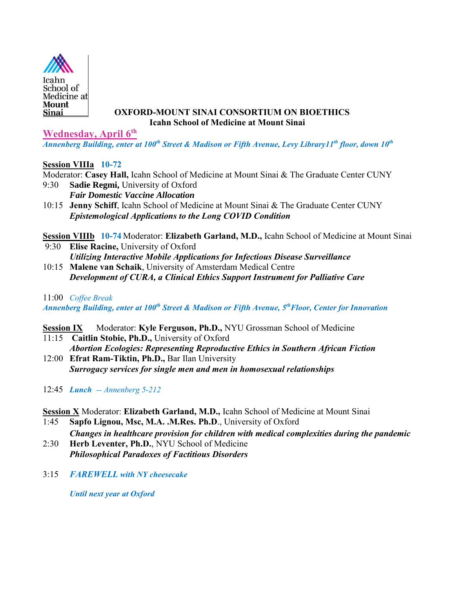

# **OXFORD-MOUNT SINAI CONSORTIUM ON BIOETHICS Icahn School of Medicine at Mount Sinai**

**Wednesday, April 6th**

*Annenberg Building, enter at 100th Street & Madison or Fifth Avenue, Levy Library11th floor, down 10th*

# **Session VIIIa 10-72**

Moderator: **Casey Hall,** Icahn School of Medicine at Mount Sinai & The Graduate Center CUNY

- 9:30 **Sadie Regmi,** University of Oxford *Fair Domestic Vaccine Allocation*
- 10:15 **Jenny Schiff**, Icahn School of Medicine at Mount Sinai & The Graduate Center CUNY *Epistemological Applications to the Long COVID Condition*

**Session VIIIb 10-74** Moderator: **Elizabeth Garland, M.D.,** Icahn School of Medicine at Mount Sinai 9:30 **Elise Racine,** University of Oxford

- *Utilizing Interactive Mobile Applications for Infectious Disease Surveillance*  10:15 **Malene van Schaik**, University of Amsterdam Medical Centre
- *Development of CURA, a Clinical Ethics Support Instrument for Palliative Care*

## 11:00 *Coffee Break*

*Annenberg Building, enter at 100th Street & Madison or Fifth Avenue, 5thFloor, Center for Innovation* 

- **<u>Session IX</u>** Moderator: **Kyle Ferguson, Ph.D.,** NYU Grossman School of Medicine
- 11:15 **Caitlin Stobie, Ph.D.,** University of Oxford *Abortion Ecologies: Representing Reproductive Ethics in Southern African Fiction*
- 12:00 **Efrat Ram-Tiktin, Ph.D.,** Bar Ilan University *Surrogacy services for single men and men in homosexual relationships*
- 12:45 *Lunch -- Annenberg 5-212*

# **Session X** Moderator: **Elizabeth Garland, M.D.,** Icahn School of Medicine at Mount Sinai

- 1:45 **Sapfo Lignou, Msc, M.A. .M.Res. Ph.D**., University of Oxford *Changes in healthcare provision for children with medical complexities during the pandemic*
- 2:30 **Herb Leventer, Ph.D.**, NYU School of Medicine *Philosophical Paradoxes of Factitious Disorders*
- 3:15 *FAREWELL with NY cheesecake*

*Until next year at Oxford*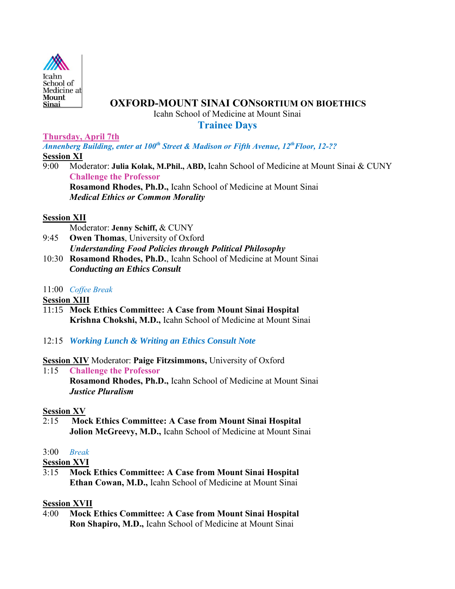

### **OXFORD-MOUNT SINAI CONSORTIUM ON BIOETHICS**

Icahn School of Medicine at Mount Sinai

**Trainee Days**

**Thursday, April 7th**

*Annenberg Building, enter at 100th Street & Madison or Fifth Avenue, 12 thFloor, 12-??* **Session XI**

9:00 Moderator: **Julia Kolak, M.Phil., ABD,** Icahn School of Medicine at Mount Sinai & CUNY **Challenge the Professor Rosamond Rhodes, Ph.D.,** Icahn School of Medicine at Mount Sinai

*Medical Ethics or Common Morality*

#### **Session XII**

Moderator: **Jenny Schiff,** & CUNY

- 9:45 **Owen Thomas**, University of Oxford *Understanding Food Policies through Political Philosophy*
- 10:30 **Rosamond Rhodes, Ph.D.**, Icahn School of Medicine at Mount Sinai *Conducting an Ethics Consult*

#### 11:00 *Coffee Break*

**Session XIII**

- 11:15 **Mock Ethics Committee: A Case from Mount Sinai Hospital Krishna Chokshi, M.D.,** Icahn School of Medicine at Mount Sinai
- 12:15 *Working Lunch & Writing an Ethics Consult Note*

# **Session XIV** Moderator: **Paige Fitzsimmons,** University of Oxford

1:15 **Challenge the Professor Rosamond Rhodes, Ph.D.,** Icahn School of Medicine at Mount Sinai *Justice Pluralism*

#### **Session XV**

2:15 **Mock Ethics Committee: A Case from Mount Sinai Hospital Jolion McGreevy, M.D.,** Icahn School of Medicine at Mount Sinai

# 3:00 *Break*

**Session XVI**

3:15 **Mock Ethics Committee: A Case from Mount Sinai Hospital Ethan Cowan, M.D.,** Icahn School of Medicine at Mount Sinai

# **Session XVII**

4:00 **Mock Ethics Committee: A Case from Mount Sinai Hospital Ron Shapiro, M.D.,** Icahn School of Medicine at Mount Sinai